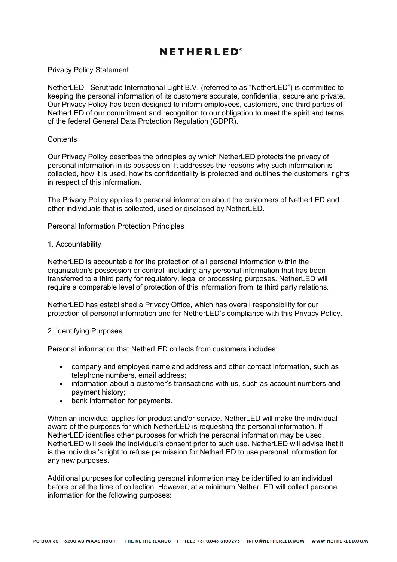# **NETHERLED**<sup>®</sup>

Privacy Policy Statement

NetherLED - Serutrade International Light B.V. (referred to as "NetherLED") is committed to keeping the personal information of its customers accurate, confidential, secure and private. Our Privacy Policy has been designed to inform employees, customers, and third parties of NetherLED of our commitment and recognition to our obligation to meet the spirit and terms of the federal General Data Protection Regulation (GDPR).

### **Contents**

Our Privacy Policy describes the principles by which NetherLED protects the privacy of personal information in its possession. It addresses the reasons why such information is collected, how it is used, how its confidentiality is protected and outlines the customers' rights in respect of this information.

The Privacy Policy applies to personal information about the customers of NetherLED and other individuals that is collected, used or disclosed by NetherLED.

Personal Information Protection Principles

#### 1. Accountability

NetherLED is accountable for the protection of all personal information within the organization's possession or control, including any personal information that has been transferred to a third party for regulatory, legal or processing purposes. NetherLED will require a comparable level of protection of this information from its third party relations.

NetherLED has established a Privacy Office, which has overall responsibility for our protection of personal information and for NetherLED's compliance with this Privacy Policy.

#### 2. Identifying Purposes

Personal information that NetherLED collects from customers includes:

- company and employee name and address and other contact information, such as telephone numbers, email address;
- information about a customer's transactions with us, such as account numbers and payment history;
- bank information for payments.

When an individual applies for product and/or service, NetherLED will make the individual aware of the purposes for which NetherLED is requesting the personal information. If NetherLED identifies other purposes for which the personal information may be used, NetherLED will seek the individual's consent prior to such use. NetherLED will advise that it is the individual's right to refuse permission for NetherLED to use personal information for any new purposes.

Additional purposes for collecting personal information may be identified to an individual before or at the time of collection. However, at a minimum NetherLED will collect personal information for the following purposes: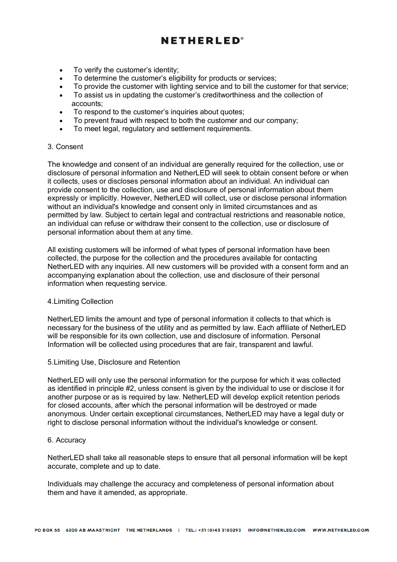# **NETHERLED®**

- To verify the customer's identity;
- To determine the customer's eligibility for products or services;
- To provide the customer with lighting service and to bill the customer for that service;
- To assist us in updating the customer's creditworthiness and the collection of accounts;
- To respond to the customer's inquiries about quotes;
- To prevent fraud with respect to both the customer and our company;
- To meet legal, regulatory and settlement requirements.

### 3. Consent

The knowledge and consent of an individual are generally required for the collection, use or disclosure of personal information and NetherLED will seek to obtain consent before or when it collects, uses or discloses personal information about an individual. An individual can provide consent to the collection, use and disclosure of personal information about them expressly or implicitly. However, NetherLED will collect, use or disclose personal information without an individual's knowledge and consent only in limited circumstances and as permitted by law. Subject to certain legal and contractual restrictions and reasonable notice, an individual can refuse or withdraw their consent to the collection, use or disclosure of personal information about them at any time.

All existing customers will be informed of what types of personal information have been collected, the purpose for the collection and the procedures available for contacting NetherLED with any inquiries. All new customers will be provided with a consent form and an accompanying explanation about the collection, use and disclosure of their personal information when requesting service.

### 4.Limiting Collection

NetherLED limits the amount and type of personal information it collects to that which is necessary for the business of the utility and as permitted by law. Each affiliate of NetherLED will be responsible for its own collection, use and disclosure of information. Personal Information will be collected using procedures that are fair, transparent and lawful.

### 5.Limiting Use, Disclosure and Retention

NetherLED will only use the personal information for the purpose for which it was collected as identified in principle #2, unless consent is given by the individual to use or disclose it for another purpose or as is required by law. NetherLED will develop explicit retention periods for closed accounts, after which the personal information will be destroyed or made anonymous. Under certain exceptional circumstances, NetherLED may have a legal duty or right to disclose personal information without the individual's knowledge or consent.

### 6. Accuracy

NetherLED shall take all reasonable steps to ensure that all personal information will be kept accurate, complete and up to date.

Individuals may challenge the accuracy and completeness of personal information about them and have it amended, as appropriate.